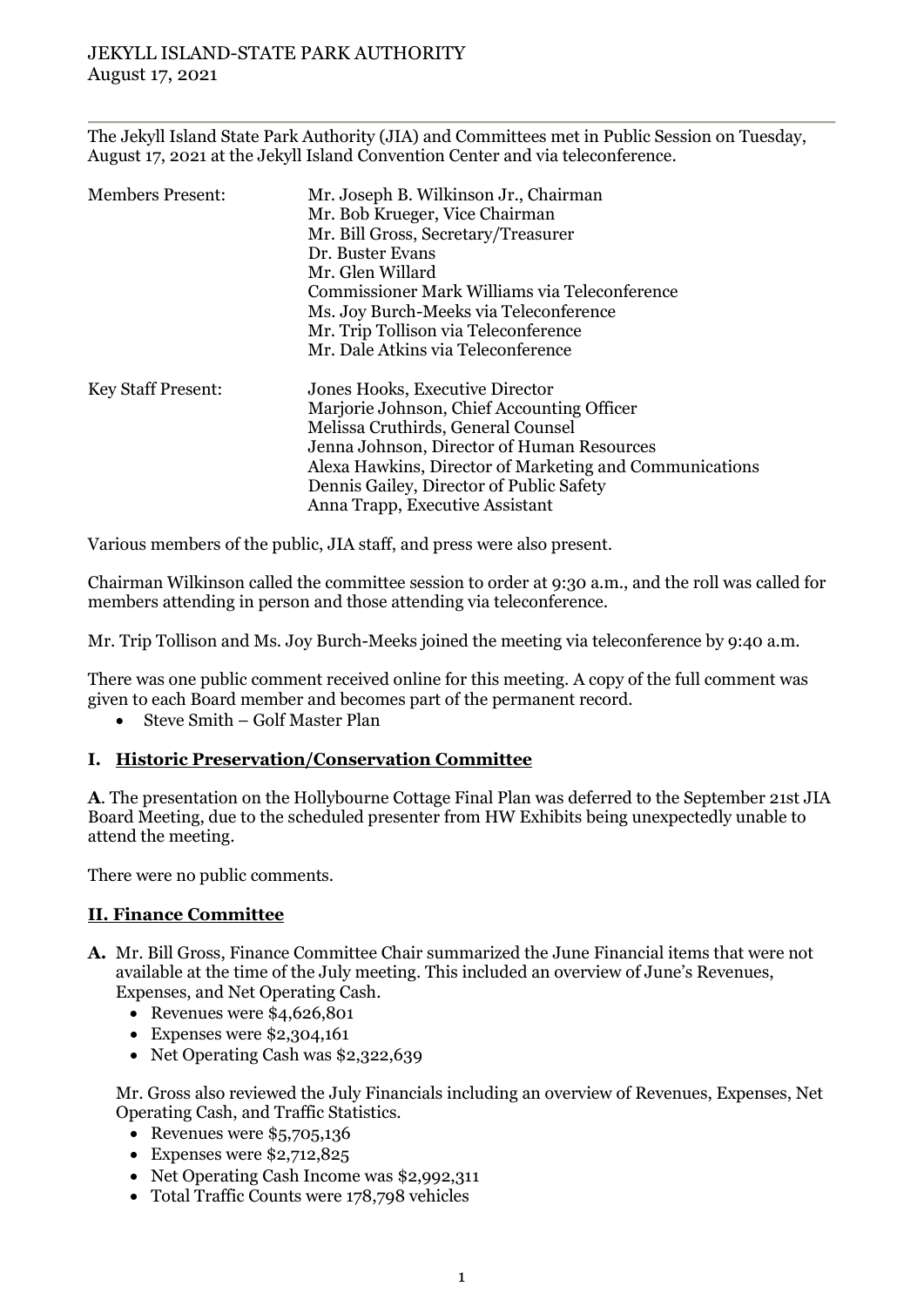The Jekyll Island State Park Authority (JIA) and Committees met in Public Session on Tuesday, August 17, 2021 at the Jekyll Island Convention Center and via teleconference.

| <b>Members Present:</b>   | Mr. Joseph B. Wilkinson Jr., Chairman<br>Mr. Bob Krueger, Vice Chairman<br>Mr. Bill Gross, Secretary/Treasurer |
|---------------------------|----------------------------------------------------------------------------------------------------------------|
|                           | Dr. Buster Evans                                                                                               |
|                           | Mr. Glen Willard                                                                                               |
|                           | Commissioner Mark Williams via Teleconference                                                                  |
|                           | Ms. Joy Burch-Meeks via Teleconference                                                                         |
|                           | Mr. Trip Tollison via Teleconference                                                                           |
|                           | Mr. Dale Atkins via Teleconference                                                                             |
| <b>Key Staff Present:</b> | Jones Hooks, Executive Director                                                                                |
|                           | Marjorie Johnson, Chief Accounting Officer                                                                     |
|                           | Melissa Cruthirds, General Counsel                                                                             |
|                           | Jenna Johnson, Director of Human Resources                                                                     |
|                           | Alexa Hawkins, Director of Marketing and Communications                                                        |
|                           | Dennis Gailey, Director of Public Safety                                                                       |
|                           |                                                                                                                |
|                           | Anna Trapp, Executive Assistant                                                                                |

Various members of the public, JIA staff, and press were also present.

Chairman Wilkinson called the committee session to order at 9:30 a.m., and the roll was called for members attending in person and those attending via teleconference.

Mr. Trip Tollison and Ms. Joy Burch-Meeks joined the meeting via teleconference by 9:40 a.m.

There was one public comment received online for this meeting. A copy of the full comment was given to each Board member and becomes part of the permanent record.

• Steve Smith – Golf Master Plan

## **I. Historic Preservation/Conservation Committee**

**A**. The presentation on the Hollybourne Cottage Final Plan was deferred to the September 21st JIA Board Meeting, due to the scheduled presenter from HW Exhibits being unexpectedly unable to attend the meeting.

There were no public comments.

## **II. Finance Committee**

- **A.** Mr. Bill Gross, Finance Committee Chair summarized the June Financial items that were not available at the time of the July meeting. This included an overview of June's Revenues, Expenses, and Net Operating Cash.
	- Revenues were \$4,626,801
	- Expenses were \$2,304,161
	- Net Operating Cash was \$2,322,639

Mr. Gross also reviewed the July Financials including an overview of Revenues, Expenses, Net Operating Cash, and Traffic Statistics.

- Revenues were  $$5,705,136$
- Expenses were  $$2,712,825$
- Net Operating Cash Income was \$2,992,311
- Total Traffic Counts were 178,798 vehicles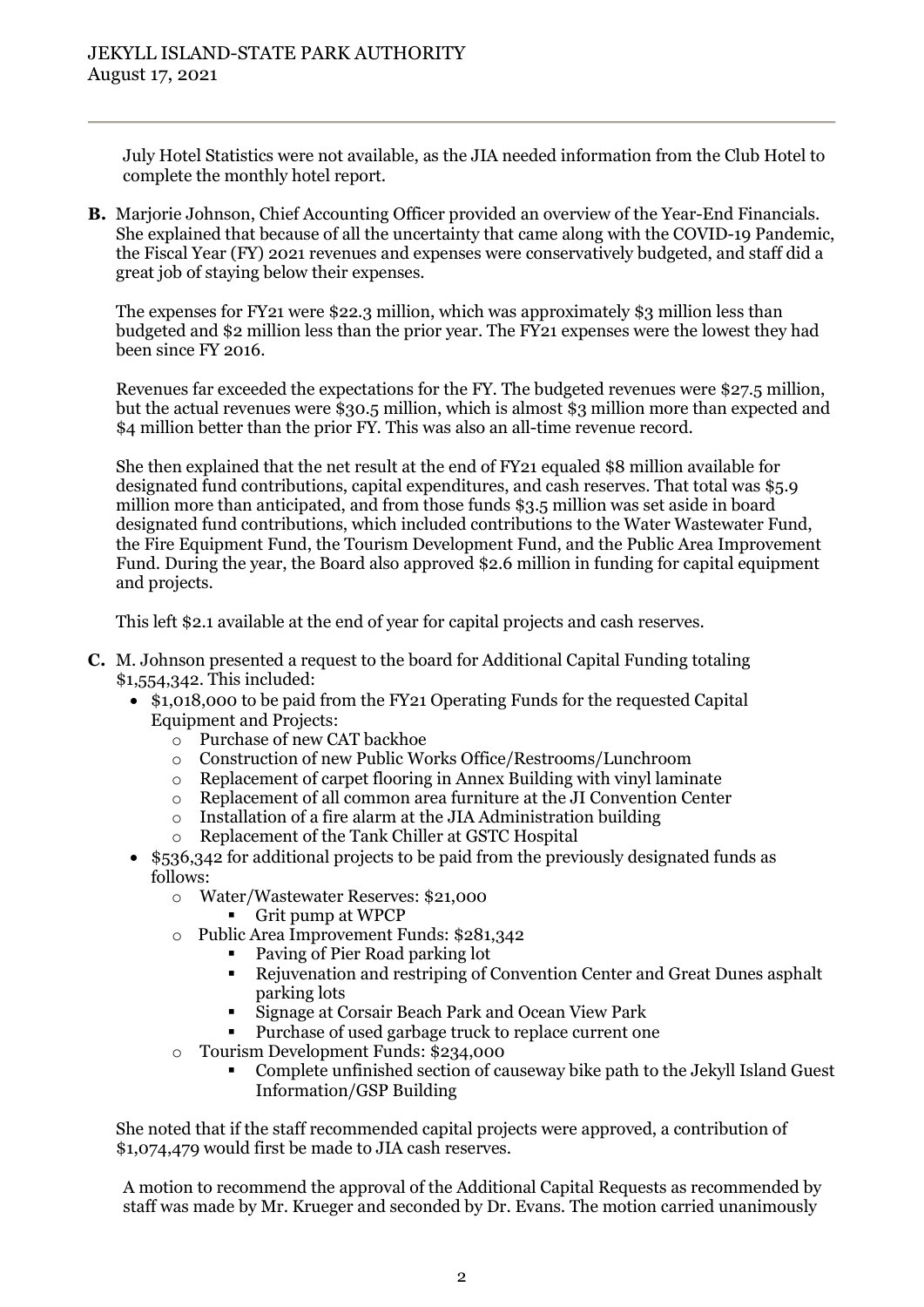July Hotel Statistics were not available, as the JIA needed information from the Club Hotel to complete the monthly hotel report.

**B.** Marjorie Johnson, Chief Accounting Officer provided an overview of the Year-End Financials. She explained that because of all the uncertainty that came along with the COVID-19 Pandemic, the Fiscal Year (FY) 2021 revenues and expenses were conservatively budgeted, and staff did a great job of staying below their expenses.

The expenses for FY21 were \$22.3 million, which was approximately \$3 million less than budgeted and \$2 million less than the prior year. The FY21 expenses were the lowest they had been since FY 2016.

Revenues far exceeded the expectations for the FY. The budgeted revenues were \$27.5 million, but the actual revenues were \$30.5 million, which is almost \$3 million more than expected and \$4 million better than the prior FY. This was also an all-time revenue record.

She then explained that the net result at the end of FY21 equaled \$8 million available for designated fund contributions, capital expenditures, and cash reserves. That total was \$5.9 million more than anticipated, and from those funds \$3.5 million was set aside in board designated fund contributions, which included contributions to the Water Wastewater Fund, the Fire Equipment Fund, the Tourism Development Fund, and the Public Area Improvement Fund. During the year, the Board also approved \$2.6 million in funding for capital equipment and projects.

This left \$2.1 available at the end of year for capital projects and cash reserves.

- **C.** M. Johnson presented a request to the board for Additional Capital Funding totaling \$1,554,342. This included:
	- \$1,018,000 to be paid from the FY21 Operating Funds for the requested Capital Equipment and Projects:
		- Purchase of new CAT backhoe<br>○ Construction of new Public Wo
		- o Construction of new Public Works Office/Restrooms/Lunchroom
		- Replacement of carpet flooring in Annex Building with vinyl laminate
		- o Replacement of all common area furniture at the JI Convention Center
		- o Installation of a fire alarm at the JIA Administration building
		- Replacement of the Tank Chiller at GSTC Hospital
	- \$536,342 for additional projects to be paid from the previously designated funds as follows:
		- o Water/Wastewater Reserves: \$21,000
			- Grit pump at WPCP
		- o Public Area Improvement Funds: \$281,342
			- Paving of Pier Road parking lot
			- Rejuvenation and restriping of Convention Center and Great Dunes asphalt parking lots
			- Signage at Corsair Beach Park and Ocean View Park
			- Purchase of used garbage truck to replace current one
		- $\circ$  Tourism Development Funds: \$234,000
			- Complete unfinished section of causeway bike path to the Jekyll Island Guest Information/GSP Building

She noted that if the staff recommended capital projects were approved, a contribution of \$1,074,479 would first be made to JIA cash reserves.

A motion to recommend the approval of the Additional Capital Requests as recommended by staff was made by Mr. Krueger and seconded by Dr. Evans. The motion carried unanimously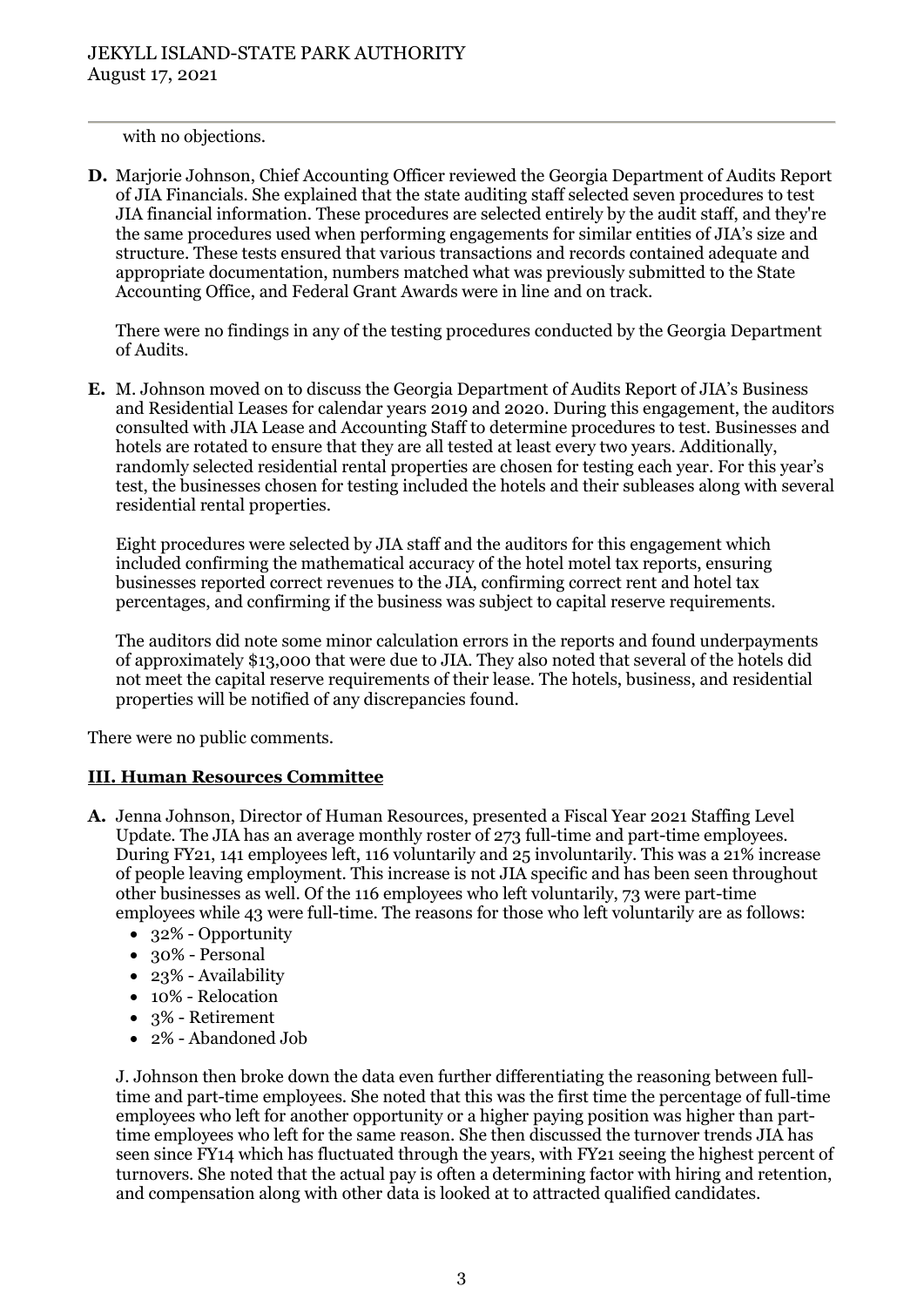with no objections.

**D.** Marjorie Johnson, Chief Accounting Officer reviewed the Georgia Department of Audits Report of JIA Financials. She explained that the state auditing staff selected seven procedures to test JIA financial information. These procedures are selected entirely by the audit staff, and they're the same procedures used when performing engagements for similar entities of JIA's size and structure. These tests ensured that various transactions and records contained adequate and appropriate documentation, numbers matched what was previously submitted to the State Accounting Office, and Federal Grant Awards were in line and on track.

There were no findings in any of the testing procedures conducted by the Georgia Department of Audits.

**E.** M. Johnson moved on to discuss the Georgia Department of Audits Report of JIA's Business and Residential Leases for calendar years 2019 and 2020. During this engagement, the auditors consulted with JIA Lease and Accounting Staff to determine procedures to test. Businesses and hotels are rotated to ensure that they are all tested at least every two years. Additionally, randomly selected residential rental properties are chosen for testing each year. For this year's test, the businesses chosen for testing included the hotels and their subleases along with several residential rental properties.

Eight procedures were selected by JIA staff and the auditors for this engagement which included confirming the mathematical accuracy of the hotel motel tax reports, ensuring businesses reported correct revenues to the JIA, confirming correct rent and hotel tax percentages, and confirming if the business was subject to capital reserve requirements.

The auditors did note some minor calculation errors in the reports and found underpayments of approximately \$13,000 that were due to JIA. They also noted that several of the hotels did not meet the capital reserve requirements of their lease. The hotels, business, and residential properties will be notified of any discrepancies found.

There were no public comments.

## **III. Human Resources Committee**

- **A.** Jenna Johnson, Director of Human Resources, presented a Fiscal Year 2021 Staffing Level Update. The JIA has an average monthly roster of 273 full-time and part-time employees. During FY21, 141 employees left, 116 voluntarily and 25 involuntarily. This was a 21% increase of people leaving employment. This increase is not JIA specific and has been seen throughout other businesses as well. Of the 116 employees who left voluntarily, 73 were part-time employees while 43 were full-time. The reasons for those who left voluntarily are as follows:
	- 32% Opportunity
	- 30% Personal
	- 23% Availability
	- 10% Relocation
	- 3% Retirement
	- 2% Abandoned Job

J. Johnson then broke down the data even further differentiating the reasoning between fulltime and part-time employees. She noted that this was the first time the percentage of full-time employees who left for another opportunity or a higher paying position was higher than parttime employees who left for the same reason. She then discussed the turnover trends JIA has seen since FY14 which has fluctuated through the years, with FY21 seeing the highest percent of turnovers. She noted that the actual pay is often a determining factor with hiring and retention, and compensation along with other data is looked at to attracted qualified candidates.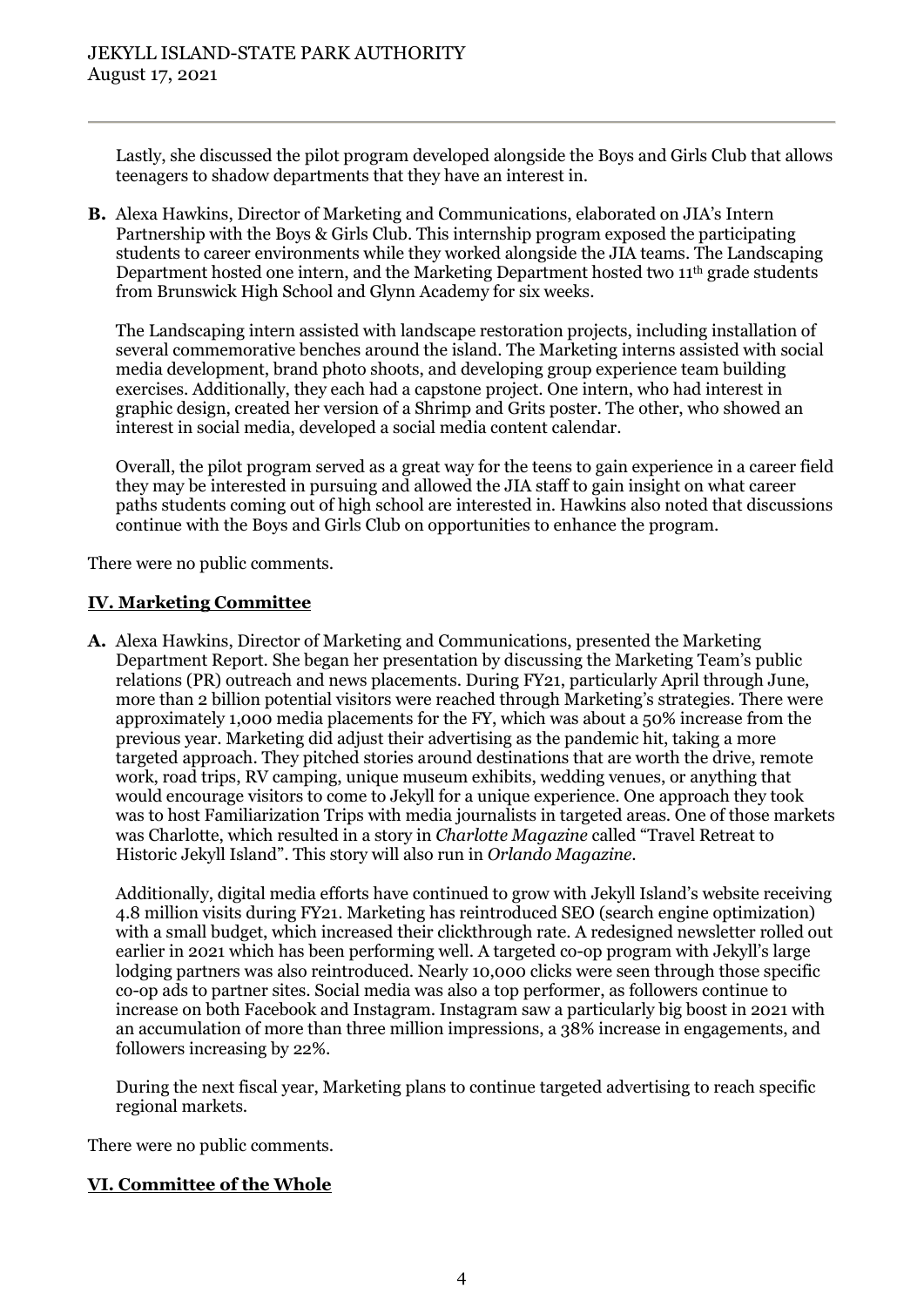Lastly, she discussed the pilot program developed alongside the Boys and Girls Club that allows teenagers to shadow departments that they have an interest in.

**B.** Alexa Hawkins, Director of Marketing and Communications, elaborated on JIA's Intern Partnership with the Boys & Girls Club. This internship program exposed the participating students to career environments while they worked alongside the JIA teams. The Landscaping Department hosted one intern, and the Marketing Department hosted two 11<sup>th</sup> grade students from Brunswick High School and Glynn Academy for six weeks.

The Landscaping intern assisted with landscape restoration projects, including installation of several commemorative benches around the island. The Marketing interns assisted with social media development, brand photo shoots, and developing group experience team building exercises. Additionally, they each had a capstone project. One intern, who had interest in graphic design, created her version of a Shrimp and Grits poster. The other, who showed an interest in social media, developed a social media content calendar.

Overall, the pilot program served as a great way for the teens to gain experience in a career field they may be interested in pursuing and allowed the JIA staff to gain insight on what career paths students coming out of high school are interested in. Hawkins also noted that discussions continue with the Boys and Girls Club on opportunities to enhance the program.

There were no public comments.

# **IV. Marketing Committee**

**A.** Alexa Hawkins, Director of Marketing and Communications, presented the Marketing Department Report. She began her presentation by discussing the Marketing Team's public relations (PR) outreach and news placements. During FY21, particularly April through June, more than 2 billion potential visitors were reached through Marketing's strategies. There were approximately 1,000 media placements for the FY, which was about a 50% increase from the previous year. Marketing did adjust their advertising as the pandemic hit, taking a more targeted approach. They pitched stories around destinations that are worth the drive, remote work, road trips, RV camping, unique museum exhibits, wedding venues, or anything that would encourage visitors to come to Jekyll for a unique experience. One approach they took was to host Familiarization Trips with media journalists in targeted areas. One of those markets was Charlotte, which resulted in a story in *Charlotte Magazine* called "Travel Retreat to Historic Jekyll Island". This story will also run in *Orlando Magazine*.

Additionally, digital media efforts have continued to grow with Jekyll Island's website receiving 4.8 million visits during FY21. Marketing has reintroduced SEO (search engine optimization) with a small budget, which increased their clickthrough rate. A redesigned newsletter rolled out earlier in 2021 which has been performing well. A targeted co-op program with Jekyll's large lodging partners was also reintroduced. Nearly 10,000 clicks were seen through those specific co-op ads to partner sites. Social media was also a top performer, as followers continue to increase on both Facebook and Instagram. Instagram saw a particularly big boost in 2021 with an accumulation of more than three million impressions, a 38% increase in engagements, and followers increasing by 22%.

During the next fiscal year, Marketing plans to continue targeted advertising to reach specific regional markets.

There were no public comments.

# **VI. Committee of the Whole**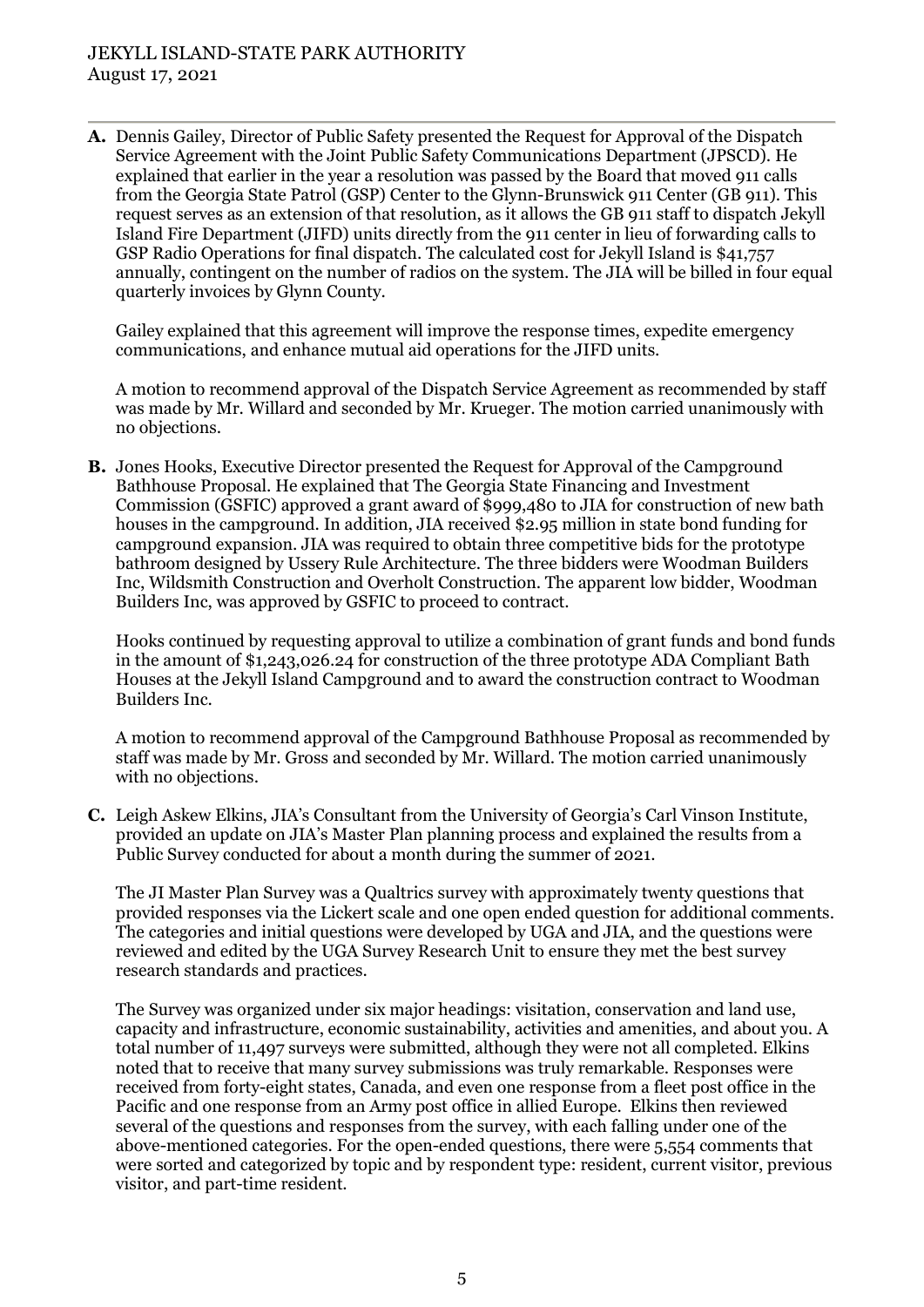**A.** Dennis Gailey, Director of Public Safety presented the Request for Approval of the Dispatch Service Agreement with the Joint Public Safety Communications Department (JPSCD). He explained that earlier in the year a resolution was passed by the Board that moved 911 calls from the Georgia State Patrol (GSP) Center to the Glynn-Brunswick 911 Center (GB 911). This request serves as an extension of that resolution, as it allows the GB 911 staff to dispatch Jekyll Island Fire Department (JIFD) units directly from the 911 center in lieu of forwarding calls to GSP Radio Operations for final dispatch. The calculated cost for Jekyll Island is \$41,757 annually, contingent on the number of radios on the system. The JIA will be billed in four equal quarterly invoices by Glynn County.

Gailey explained that this agreement will improve the response times, expedite emergency communications, and enhance mutual aid operations for the JIFD units.

A motion to recommend approval of the Dispatch Service Agreement as recommended by staff was made by Mr. Willard and seconded by Mr. Krueger. The motion carried unanimously with no objections.

**B.** Jones Hooks, Executive Director presented the Request for Approval of the Campground Bathhouse Proposal. He explained that The Georgia State Financing and Investment Commission (GSFIC) approved a grant award of \$999,480 to JIA for construction of new bath houses in the campground. In addition, JIA received \$2.95 million in state bond funding for campground expansion. JIA was required to obtain three competitive bids for the prototype bathroom designed by Ussery Rule Architecture. The three bidders were Woodman Builders Inc, Wildsmith Construction and Overholt Construction. The apparent low bidder, Woodman Builders Inc, was approved by GSFIC to proceed to contract.

Hooks continued by requesting approval to utilize a combination of grant funds and bond funds in the amount of \$1,243,026.24 for construction of the three prototype ADA Compliant Bath Houses at the Jekyll Island Campground and to award the construction contract to Woodman Builders Inc.

A motion to recommend approval of the Campground Bathhouse Proposal as recommended by staff was made by Mr. Gross and seconded by Mr. Willard. The motion carried unanimously with no objections.

**C.** Leigh Askew Elkins, JIA's Consultant from the University of Georgia's Carl Vinson Institute, provided an update on JIA's Master Plan planning process and explained the results from a Public Survey conducted for about a month during the summer of 2021.

The JI Master Plan Survey was a Qualtrics survey with approximately twenty questions that provided responses via the Lickert scale and one open ended question for additional comments. The categories and initial questions were developed by UGA and JIA, and the questions were reviewed and edited by the UGA Survey Research Unit to ensure they met the best survey research standards and practices.

The Survey was organized under six major headings: visitation, conservation and land use, capacity and infrastructure, economic sustainability, activities and amenities, and about you. A total number of 11,497 surveys were submitted, although they were not all completed. Elkins noted that to receive that many survey submissions was truly remarkable. Responses were received from forty-eight states, Canada, and even one response from a fleet post office in the Pacific and one response from an Army post office in allied Europe. Elkins then reviewed several of the questions and responses from the survey, with each falling under one of the above-mentioned categories. For the open-ended questions, there were 5,554 comments that were sorted and categorized by topic and by respondent type: resident, current visitor, previous visitor, and part-time resident.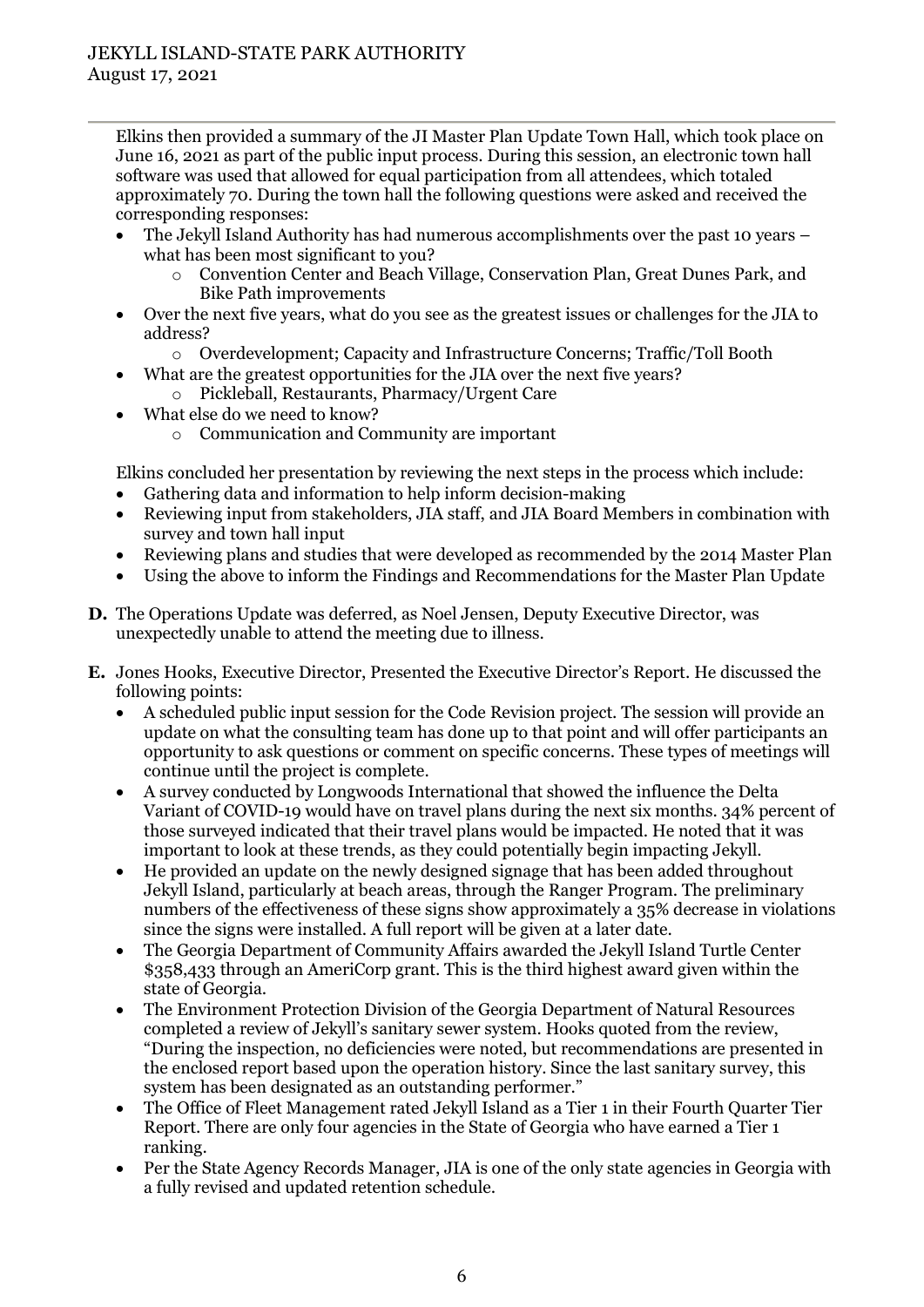Elkins then provided a summary of the JI Master Plan Update Town Hall, which took place on June 16, 2021 as part of the public input process. During this session, an electronic town hall software was used that allowed for equal participation from all attendees, which totaled approximately 70. During the town hall the following questions were asked and received the corresponding responses:

- The Jekyll Island Authority has had numerous accomplishments over the past 10 years what has been most significant to you?
	- o Convention Center and Beach Village, Conservation Plan, Great Dunes Park, and Bike Path improvements
- Over the next five years, what do you see as the greatest issues or challenges for the JIA to address?
	- o Overdevelopment; Capacity and Infrastructure Concerns; Traffic/Toll Booth
	- What are the greatest opportunities for the JIA over the next five years?
		- o Pickleball, Restaurants, Pharmacy/Urgent Care
- What else do we need to know?
	- o Communication and Community are important

Elkins concluded her presentation by reviewing the next steps in the process which include:

- Gathering data and information to help inform decision-making
- Reviewing input from stakeholders, JIA staff, and JIA Board Members in combination with survey and town hall input
- Reviewing plans and studies that were developed as recommended by the 2014 Master Plan
- Using the above to inform the Findings and Recommendations for the Master Plan Update
- **D.** The Operations Update was deferred, as Noel Jensen, Deputy Executive Director, was unexpectedly unable to attend the meeting due to illness.
- **E.** Jones Hooks, Executive Director, Presented the Executive Director's Report. He discussed the following points:
	- A scheduled public input session for the Code Revision project. The session will provide an update on what the consulting team has done up to that point and will offer participants an opportunity to ask questions or comment on specific concerns. These types of meetings will continue until the project is complete.
	- A survey conducted by Longwoods International that showed the influence the Delta Variant of COVID-19 would have on travel plans during the next six months. 34% percent of those surveyed indicated that their travel plans would be impacted. He noted that it was important to look at these trends, as they could potentially begin impacting Jekyll.
	- He provided an update on the newly designed signage that has been added throughout Jekyll Island, particularly at beach areas, through the Ranger Program. The preliminary numbers of the effectiveness of these signs show approximately a 35% decrease in violations since the signs were installed. A full report will be given at a later date.
	- The Georgia Department of Community Affairs awarded the Jekyll Island Turtle Center \$358,433 through an AmeriCorp grant. This is the third highest award given within the state of Georgia.
	- The Environment Protection Division of the Georgia Department of Natural Resources completed a review of Jekyll's sanitary sewer system. Hooks quoted from the review, "During the inspection, no deficiencies were noted, but recommendations are presented in the enclosed report based upon the operation history. Since the last sanitary survey, this system has been designated as an outstanding performer."
	- The Office of Fleet Management rated Jekyll Island as a Tier 1 in their Fourth Quarter Tier Report. There are only four agencies in the State of Georgia who have earned a Tier 1 ranking.
	- Per the State Agency Records Manager, JIA is one of the only state agencies in Georgia with a fully revised and updated retention schedule.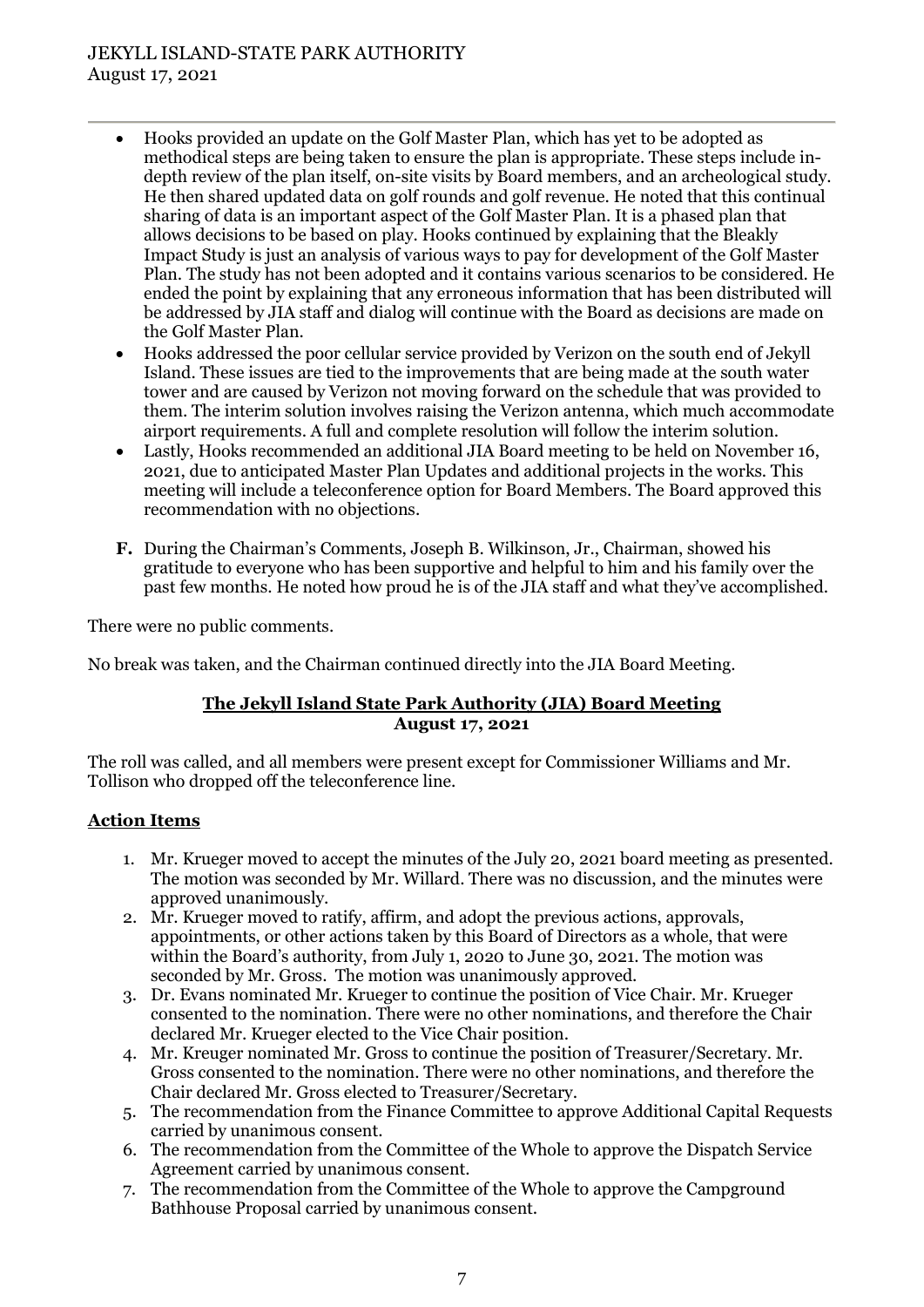# JEKYLL ISLAND-STATE PARK AUTHORITY August 17, 2021

- Hooks provided an update on the Golf Master Plan, which has yet to be adopted as methodical steps are being taken to ensure the plan is appropriate. These steps include indepth review of the plan itself, on-site visits by Board members, and an archeological study. He then shared updated data on golf rounds and golf revenue. He noted that this continual sharing of data is an important aspect of the Golf Master Plan. It is a phased plan that allows decisions to be based on play. Hooks continued by explaining that the Bleakly Impact Study is just an analysis of various ways to pay for development of the Golf Master Plan. The study has not been adopted and it contains various scenarios to be considered. He ended the point by explaining that any erroneous information that has been distributed will be addressed by JIA staff and dialog will continue with the Board as decisions are made on the Golf Master Plan.
- Hooks addressed the poor cellular service provided by Verizon on the south end of Jekyll Island. These issues are tied to the improvements that are being made at the south water tower and are caused by Verizon not moving forward on the schedule that was provided to them. The interim solution involves raising the Verizon antenna, which much accommodate airport requirements. A full and complete resolution will follow the interim solution.
- Lastly, Hooks recommended an additional JIA Board meeting to be held on November 16, 2021, due to anticipated Master Plan Updates and additional projects in the works. This meeting will include a teleconference option for Board Members. The Board approved this recommendation with no objections.
- **F.** During the Chairman's Comments, Joseph B. Wilkinson, Jr., Chairman, showed his gratitude to everyone who has been supportive and helpful to him and his family over the past few months. He noted how proud he is of the JIA staff and what they've accomplished.

There were no public comments.

No break was taken, and the Chairman continued directly into the JIA Board Meeting.

## **The Jekyll Island State Park Authority (JIA) Board Meeting August 17, 2021**

The roll was called, and all members were present except for Commissioner Williams and Mr. Tollison who dropped off the teleconference line.

## **Action Items**

- 1. Mr. Krueger moved to accept the minutes of the July 20, 2021 board meeting as presented. The motion was seconded by Mr. Willard. There was no discussion, and the minutes were approved unanimously.
- 2. Mr. Krueger moved to ratify, affirm, and adopt the previous actions, approvals, appointments, or other actions taken by this Board of Directors as a whole, that were within the Board's authority, from July 1, 2020 to June 30, 2021. The motion was seconded by Mr. Gross. The motion was unanimously approved.
- 3. Dr. Evans nominated Mr. Krueger to continue the position of Vice Chair. Mr. Krueger consented to the nomination. There were no other nominations, and therefore the Chair declared Mr. Krueger elected to the Vice Chair position.
- 4. Mr. Kreuger nominated Mr. Gross to continue the position of Treasurer/Secretary. Mr. Gross consented to the nomination. There were no other nominations, and therefore the Chair declared Mr. Gross elected to Treasurer/Secretary.
- 5. The recommendation from the Finance Committee to approve Additional Capital Requests carried by unanimous consent.
- 6. The recommendation from the Committee of the Whole to approve the Dispatch Service Agreement carried by unanimous consent.
- 7. The recommendation from the Committee of the Whole to approve the Campground Bathhouse Proposal carried by unanimous consent.